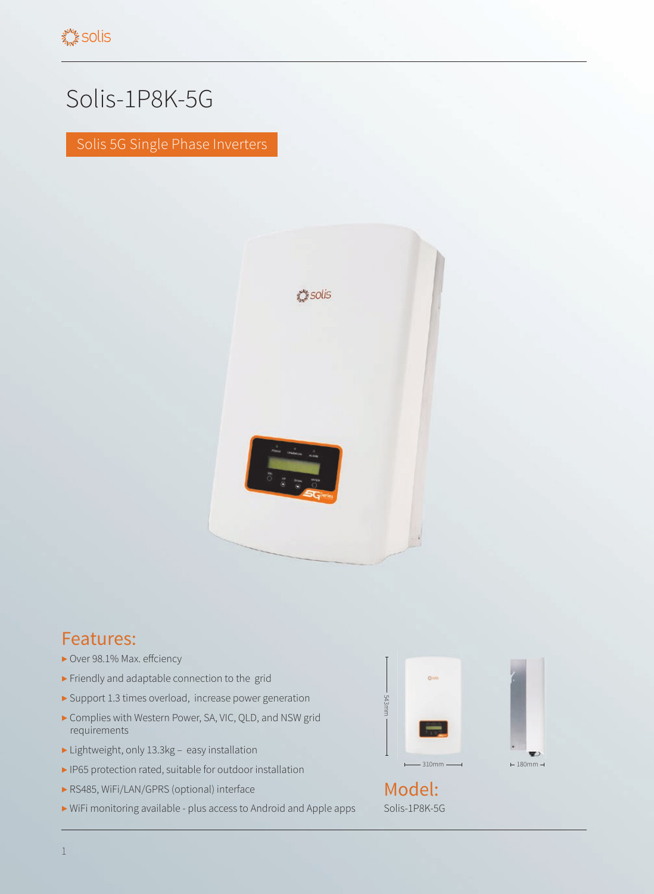## Solis-1P8K-5G

Solis 5G Single Phase Inverters



## Features:

- ▶ Over 98.1% Max. effciency
- ▶ Friendly and adaptable connection to the grid
- ▶ Support 1.3 times overload, increase power generation
- ▶ Complies with Western Power, SA, VIC, QLD, and NSW grid requirements
- ▶ Lightweight, only 13.3kg easy installation
- ▶ IP65 protection rated, suitable for outdoor installation
- ▶ RS485, WiFi/LAN/GPRS (optional) interface
- ▶ WiFi monitoring available plus access to Android and Apple apps



Solis-1P8K-5G Model: